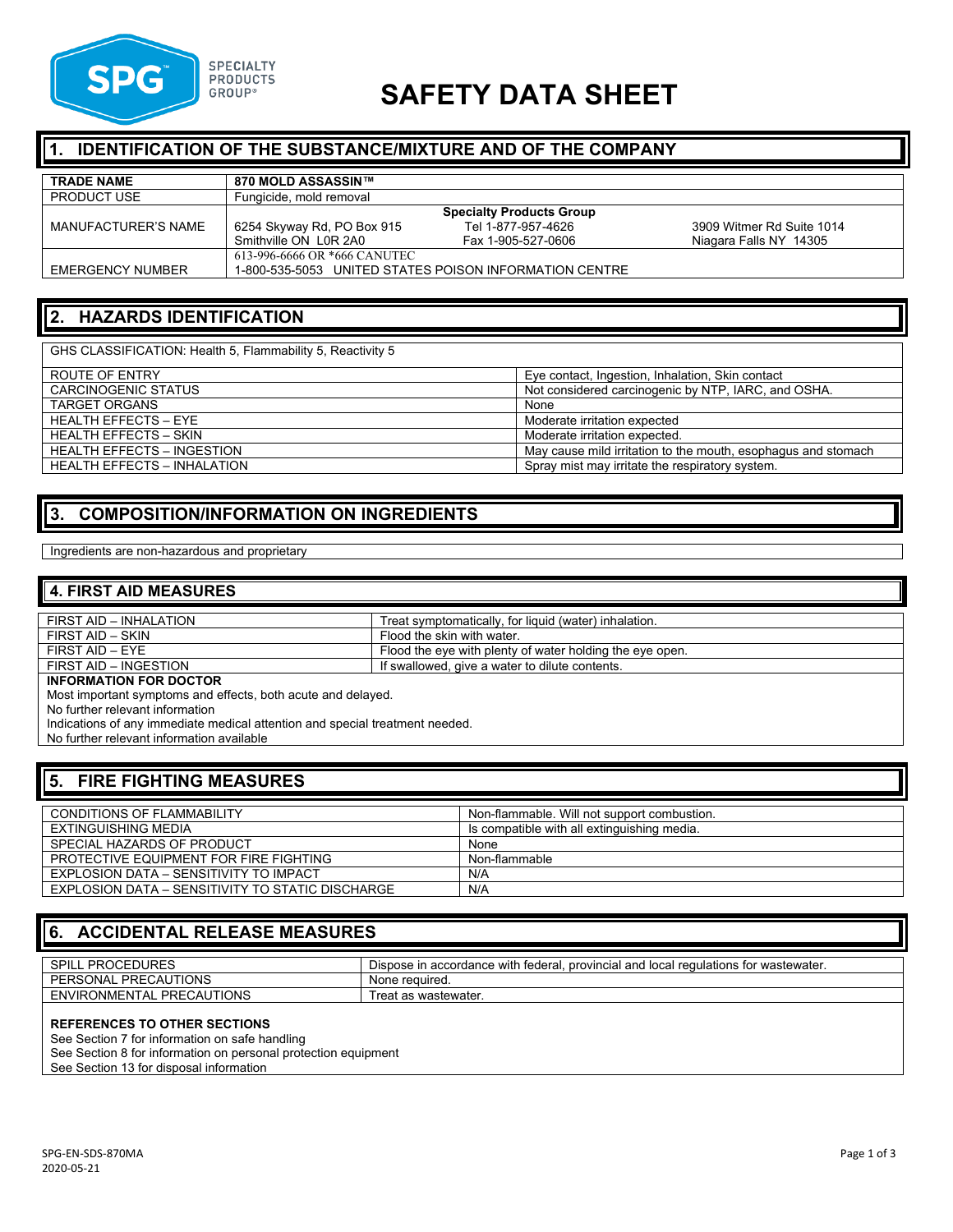

# **SAFETY DATA SHEET**

# **1. IDENTIFICATION OF THE SUBSTANCE/MIXTURE AND OF THE COMPANY**

| <b>TRADE NAME</b>       | 870 MOLD ASSASSIN™           |                                                        |                           |
|-------------------------|------------------------------|--------------------------------------------------------|---------------------------|
| <b>PRODUCT USE</b>      | Fungicide, mold removal      |                                                        |                           |
|                         |                              | <b>Specialty Products Group</b>                        |                           |
| MANUFACTURER'S NAME     | 6254 Skyway Rd, PO Box 915   | Tel 1-877-957-4626                                     | 3909 Witmer Rd Suite 1014 |
|                         | Smithville ON L0R 2A0        | Fax 1-905-527-0606                                     | Niagara Falls NY 14305    |
|                         | 613-996-6666 OR *666 CANUTEC |                                                        |                           |
| <b>EMERGENCY NUMBER</b> |                              | 1-800-535-5053 UNITED STATES POISON INFORMATION CENTRE |                           |

# **2. HAZARDS IDENTIFICATION**

GHS CLASSIFICATION: Health 5, Flammability 5, Reactivity 5

| Eye contact, Ingestion, Inhalation, Skin contact              |
|---------------------------------------------------------------|
| Not considered carcinogenic by NTP. IARC, and OSHA.           |
| None                                                          |
| Moderate irritation expected                                  |
| Moderate irritation expected.                                 |
| May cause mild irritation to the mouth, esophagus and stomach |
| Spray mist may irritate the respiratory system.               |
|                                                               |

# **3. COMPOSITION/INFORMATION ON INGREDIENTS**

### Ingredients are non-hazardous and proprietary

#### **4. FIRST AID MEASURES**

| FIRST AID - INHALATION | Treat symptomatically, for liquid (water) inhalation.    |
|------------------------|----------------------------------------------------------|
| FIRST AID - SKIN       | Flood the skin with water.                               |
| FIRST AID - EYE        | Flood the eye with plenty of water holding the eye open. |
| FIRST AID – INGESTION  | If swallowed, give a water to dilute contents.           |
|                        |                                                          |

#### **INFORMATION FOR DOCTOR**

Most important symptoms and effects, both acute and delayed.

No further relevant information

Indications of any immediate medical attention and special treatment needed.

No further relevant information available

### **5. FIRE FIGHTING MEASURES**

| <b>CONDITIONS OF FLAMMABILITY</b>                | Non-flammable. Will not support combustion. |
|--------------------------------------------------|---------------------------------------------|
| EXTINGUISHING MEDIA                              | Is compatible with all extinguishing media. |
| SPECIAL HAZARDS OF PRODUCT                       | None                                        |
| PROTECTIVE EQUIPMENT FOR FIRE FIGHTING           | Non-flammable                               |
| EXPLOSION DATA - SENSITIVITY TO IMPACT           | N/A                                         |
| EXPLOSION DATA – SENSITIVITY TO STATIC DISCHARGE | N/A                                         |

# **6. ACCIDENTAL RELEASE MEASURES**

| SPII<br><b>PROCEDURES</b>        | -<br>Dispose in accordance with federal.<br>. provincial and local requiations for<br>∵wastewater. |
|----------------------------------|----------------------------------------------------------------------------------------------------|
|                                  |                                                                                                    |
| <b>PRECAUTIONS</b><br>PERSONAL , | None required.                                                                                     |
|                                  |                                                                                                    |
| <b>PRECAUTIONS</b>               |                                                                                                    |
| ENVIRONMENTAL                    | reat<br>t as wastewater.                                                                           |
|                                  |                                                                                                    |

#### **REFERENCES TO OTHER SECTIONS**

See Section 7 for information on safe handling See Section 8 for information on personal protection equipment See Section 13 for disposal information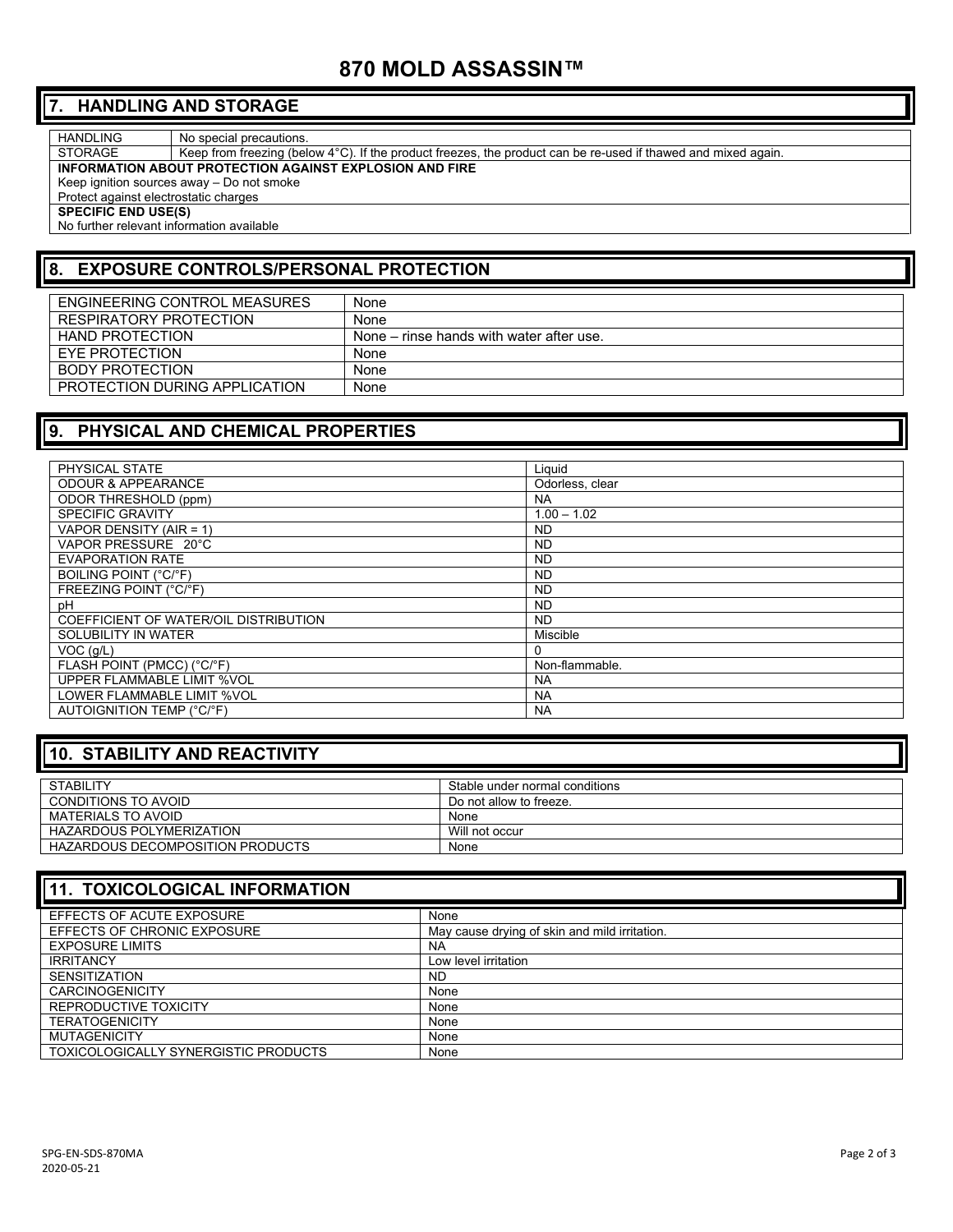# **7. HANDLING AND STORAGE**

HANDLING No special precautions<br>STORAGE Keep from freezing (be Keep from freezing (below 4°C). If the product freezes, the product can be re-used if thawed and mixed again. **INFORMATION ABOUT PROTECTION AGAINST EXPLOSION AND FIRE** Keep ignition sources away – Do not smoke Protect against electrostatic charges **SPECIFIC END USE(S)**  No further relevant information available

# **8. EXPOSURE CONTROLS/PERSONAL PROTECTION**

| ENGINEERING CONTROL MEASURES  | None                                     |
|-------------------------------|------------------------------------------|
| RESPIRATORY PROTECTION        | None                                     |
| <b>HAND PROTECTION</b>        | None – rinse hands with water after use. |
| EYE PROTECTION                | None                                     |
| <b>BODY PROTECTION</b>        | None                                     |
| PROTECTION DURING APPLICATION | None                                     |

# **9. PHYSICAL AND CHEMICAL PROPERTIES**

| PHYSICAL STATE                        | Liguid          |
|---------------------------------------|-----------------|
| <b>ODOUR &amp; APPEARANCE</b>         | Odorless, clear |
| ODOR THRESHOLD (ppm)                  | <b>NA</b>       |
| <b>SPECIFIC GRAVITY</b>               | $1.00 - 1.02$   |
| VAPOR DENSITY (AIR = 1)               | <b>ND</b>       |
| VAPOR PRESSURE 20°C                   | <b>ND</b>       |
| <b>EVAPORATION RATE</b>               | <b>ND</b>       |
| BOILING POINT (°C/°F)                 | <b>ND</b>       |
| FREEZING POINT (°C/°F)                | <b>ND</b>       |
| pH                                    | <b>ND</b>       |
| COEFFICIENT OF WATER/OIL DISTRIBUTION | <b>ND</b>       |
| SOLUBILITY IN WATER                   | Miscible        |
| $\overline{VOC}$ (g/L)                | 0               |
| FLASH POINT (PMCC) (°C/°F)            | Non-flammable.  |
| UPPER FLAMMABLE LIMIT %VOL            | <b>NA</b>       |
| LOWER FLAMMABLE LIMIT %VOL            | <b>NA</b>       |
| <b>AUTOIGNITION TEMP (°C/°F)</b>      | <b>NA</b>       |

# **10. STABILITY AND REACTIVITY**

| <b>STABILITY</b>                 | Stable under normal conditions |
|----------------------------------|--------------------------------|
| CONDITIONS TO AVOID              | Do not allow to freeze.        |
| MATERIALS TO AVOID               | None                           |
| <b>HAZARDOUS POLYMERIZATION</b>  | Will not occur                 |
| HAZARDOUS DECOMPOSITION PRODUCTS | None                           |

| <b>11. TOXICOLOGICAL INFORMATION</b>        |                                               |  |
|---------------------------------------------|-----------------------------------------------|--|
| EFFECTS OF ACUTE EXPOSURE                   | None                                          |  |
| EFFECTS OF CHRONIC EXPOSURE                 | May cause drying of skin and mild irritation. |  |
| <b>EXPOSURE LIMITS</b>                      | NA                                            |  |
| <b>IRRITANCY</b>                            | Low level irritation                          |  |
| <b>SENSITIZATION</b>                        | <b>ND</b>                                     |  |
| <b>CARCINOGENICITY</b>                      | None                                          |  |
| REPRODUCTIVE TOXICITY                       | None                                          |  |
| <b>TERATOGENICITY</b>                       | None                                          |  |
| <b>MUTAGENICITY</b>                         | None                                          |  |
| <b>TOXICOLOGICALLY SYNERGISTIC PRODUCTS</b> | None                                          |  |